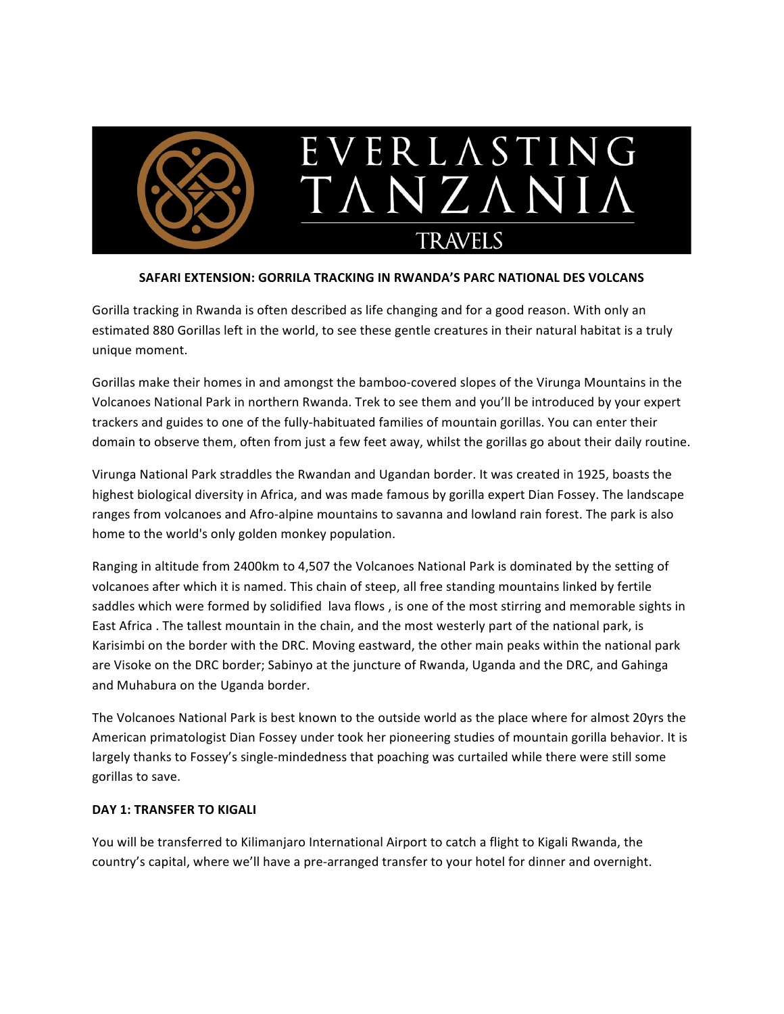

## **SAFARI EXTENSION: GORRILA TRACKING IN RWANDA'S PARC NATIONAL DES VOLCANS**

Gorilla tracking in Rwanda is often described as life changing and for a good reason. With only an estimated 880 Gorillas left in the world, to see these gentle creatures in their natural habitat is a truly unique moment.

Gorillas make their homes in and amongst the bamboo-covered slopes of the Virunga Mountains in the Volcanoes National Park in northern Rwanda. Trek to see them and you'll be introduced by your expert trackers and guides to one of the fully-habituated families of mountain gorillas. You can enter their domain to observe them, often from just a few feet away, whilst the gorillas go about their daily routine.

Virunga National Park straddles the Rwandan and Ugandan border. It was created in 1925, boasts the highest biological diversity in Africa, and was made famous by gorilla expert Dian Fossey. The landscape ranges from volcanoes and Afro-alpine mountains to savanna and lowland rain forest. The park is also home to the world's only golden monkey population.

Ranging in altitude from 2400km to 4,507 the Volcanoes National Park is dominated by the setting of volcanoes after which it is named. This chain of steep, all free standing mountains linked by fertile saddles which were formed by solidified lava flows, is one of the most stirring and memorable sights in East Africa . The tallest mountain in the chain, and the most westerly part of the national park, is Karisimbi on the border with the DRC. Moving eastward, the other main peaks within the national park are Visoke on the DRC border; Sabinyo at the juncture of Rwanda, Uganda and the DRC, and Gahinga and Muhabura on the Uganda border.

The Volcanoes National Park is best known to the outside world as the place where for almost 20yrs the American primatologist Dian Fossey under took her pioneering studies of mountain gorilla behavior. It is largely thanks to Fossey's single-mindedness that poaching was curtailed while there were still some gorillas to save.

## **DAY 1: TRANSFER TO KIGALI**

You will be transferred to Kilimanjaro International Airport to catch a flight to Kigali Rwanda, the country's capital, where we'll have a pre-arranged transfer to your hotel for dinner and overnight.